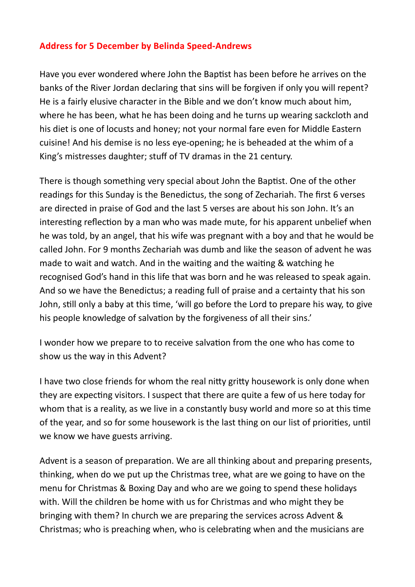## **Address for 5 December by Belinda Speed-Andrews**

Have you ever wondered where John the Baptist has been before he arrives on the banks of the River Jordan declaring that sins will be forgiven if only you will repent? He is a fairly elusive character in the Bible and we don't know much about him, where he has been, what he has been doing and he turns up wearing sackcloth and his diet is one of locusts and honey; not your normal fare even for Middle Eastern cuisine! And his demise is no less eye-opening; he is beheaded at the whim of a King's mistresses daughter; stuff of TV dramas in the 21 century.

There is though something very special about John the Baptist. One of the other readings for this Sunday is the Benedictus, the song of Zechariah. The first 6 verses are directed in praise of God and the last 5 verses are about his son John. It's an interesting reflection by a man who was made mute, for his apparent unbelief when he was told, by an angel, that his wife was pregnant with a boy and that he would be called John. For 9 months Zechariah was dumb and like the season of advent he was made to wait and watch. And in the waiting and the waiting & watching he recognised God's hand in this life that was born and he was released to speak again. And so we have the Benedictus; a reading full of praise and a certainty that his son John, still only a baby at this time, 'will go before the Lord to prepare his way, to give his people knowledge of salvation by the forgiveness of all their sins.'

I wonder how we prepare to to receive salvation from the one who has come to show us the way in this Advent?

I have two close friends for whom the real nitty gritty housework is only done when they are expecting visitors. I suspect that there are quite a few of us here today for whom that is a reality, as we live in a constantly busy world and more so at this time of the year, and so for some housework is the last thing on our list of priorities, until we know we have guests arriving.

Advent is a season of preparation. We are all thinking about and preparing presents, thinking, when do we put up the Christmas tree, what are we going to have on the menu for Christmas & Boxing Day and who are we going to spend these holidays with. Will the children be home with us for Christmas and who might they be bringing with them? In church we are preparing the services across Advent & Christmas; who is preaching when, who is celebrating when and the musicians are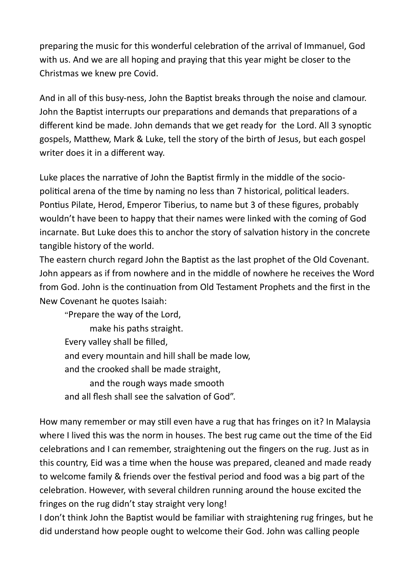preparing the music for this wonderful celebration of the arrival of Immanuel, God with us. And we are all hoping and praying that this year might be closer to the Christmas we knew pre Covid.

And in all of this busy-ness, John the Baptist breaks through the noise and clamour. John the Baptist interrupts our preparations and demands that preparations of a different kind be made. John demands that we get ready for the Lord. All 3 synoptic gospels, Matthew, Mark & Luke, tell the story of the birth of Jesus, but each gospel writer does it in a different way.

Luke places the narrative of John the Baptist firmly in the middle of the sociopolitical arena of the time by naming no less than 7 historical, political leaders. Pontius Pilate, Herod, Emperor Tiberius, to name but 3 of these figures, probably wouldn't have been to happy that their names were linked with the coming of God incarnate. But Luke does this to anchor the story of salvation history in the concrete tangible history of the world.

The eastern church regard John the Baptist as the last prophet of the Old Covenant. John appears as if from nowhere and in the middle of nowhere he receives the Word from God. John is the continuation from Old Testament Prophets and the first in the New Covenant he quotes Isaiah:

"Prepare the way of the Lord,

make his paths straight. Every valley shall be filled, and every mountain and hill shall be made low, and the crooked shall be made straight, and the rough ways made smooth

and all flesh shall see the salvation of God".

How many remember or may still even have a rug that has fringes on it? In Malaysia where I lived this was the norm in houses. The best rug came out the time of the Eid celebrations and I can remember, straightening out the fingers on the rug. Just as in this country, Eid was a time when the house was prepared, cleaned and made ready to welcome family & friends over the festival period and food was a big part of the celebration. However, with several children running around the house excited the fringes on the rug didn't stay straight very long!

I don't think John the Baptist would be familiar with straightening rug fringes, but he did understand how people ought to welcome their God. John was calling people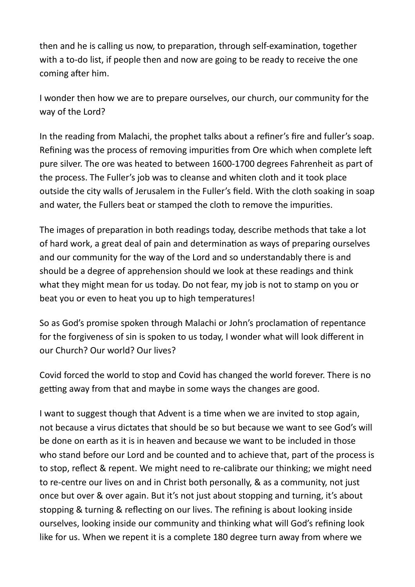then and he is calling us now, to preparation, through self-examination, together with a to-do list, if people then and now are going to be ready to receive the one coming after him.

I wonder then how we are to prepare ourselves, our church, our community for the way of the Lord?

In the reading from Malachi, the prophet talks about a refiner's fire and fuller's soap. Refining was the process of removing impurities from Ore which when complete left pure silver. The ore was heated to between 1600-1700 degrees Fahrenheit as part of the process. The Fuller's job was to cleanse and whiten cloth and it took place outside the city walls of Jerusalem in the Fuller's field. With the cloth soaking in soap and water, the Fullers beat or stamped the cloth to remove the impurities.

The images of preparation in both readings today, describe methods that take a lot of hard work, a great deal of pain and determination as ways of preparing ourselves and our community for the way of the Lord and so understandably there is and should be a degree of apprehension should we look at these readings and think what they might mean for us today. Do not fear, my job is not to stamp on you or beat you or even to heat you up to high temperatures!

So as God's promise spoken through Malachi or John's proclamation of repentance for the forgiveness of sin is spoken to us today, I wonder what will look different in our Church? Our world? Our lives?

Covid forced the world to stop and Covid has changed the world forever. There is no getting away from that and maybe in some ways the changes are good.

I want to suggest though that Advent is a time when we are invited to stop again, not because a virus dictates that should be so but because we want to see God's will be done on earth as it is in heaven and because we want to be included in those who stand before our Lord and be counted and to achieve that, part of the process is to stop, reflect & repent. We might need to re-calibrate our thinking; we might need to re-centre our lives on and in Christ both personally, & as a community, not just once but over & over again. But it's not just about stopping and turning, it's about stopping & turning & reflecting on our lives. The refining is about looking inside ourselves, looking inside our community and thinking what will God's refining look like for us. When we repent it is a complete 180 degree turn away from where we